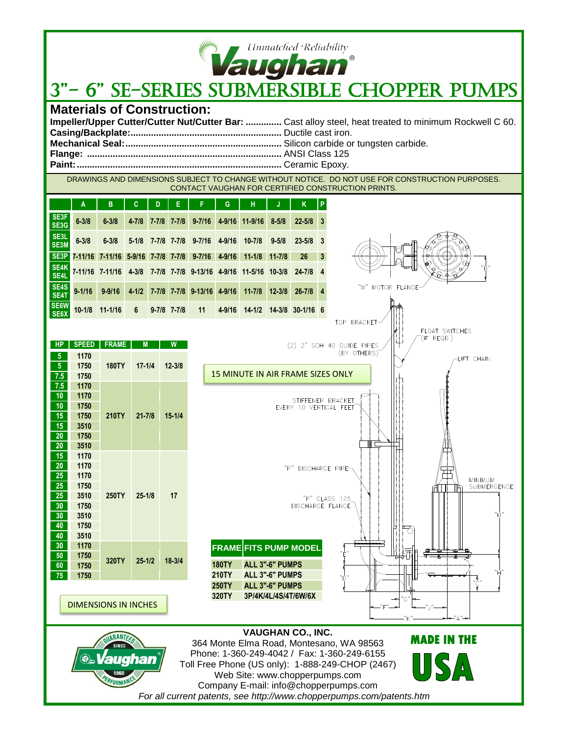

## **14 Unmatched Reliability**<br>3" - 6" SE-SERIES SUBMERSIBLE CHOPPER PUMPS

## **Materials of Construction:**

| Impeller/Upper Cutter/Cutter Nut/Cutter Bar:  Cast alloy steel, heat treated to minimum Rockwell C 60. |
|--------------------------------------------------------------------------------------------------------|
|                                                                                                        |
|                                                                                                        |
|                                                                                                        |
|                                                                                                        |

DRAWINGS AND DIMENSIONS SUBJECT TO CHANGE WITHOUT NOTICE. DO NOT USE FOR CONSTRUCTION PURPOSES. CONTACT VAUGHAN FOR CERTIFIED CONSTRUCTION PRINTS.

|                 |              | в                                                | C          | D |                 |                                  | G          | н                                                        |            | Κ                            | l P |
|-----------------|--------------|--------------------------------------------------|------------|---|-----------------|----------------------------------|------------|----------------------------------------------------------|------------|------------------------------|-----|
| SE3F<br>SE3G    | $6 - 3/8$    | $6 - 3/8$                                        | $4 - 7/8$  |   | 7-7/8 7-7/8     | $9 - 7/16$ 4-9/16                |            | $11 - 9/16$                                              | $8 - 5/8$  | $22 - 5/8$ 3                 |     |
| SE3L<br>SE3M    | $6 - 3/8$    | $6 - 3/8$                                        |            |   |                 | 5-1/8 7-7/8 7-7/8 9-7/16 4-9/16  |            | $10 - 7/8$                                               | $9 - 5/8$  | $23 - 5/8$ 3                 |     |
| SE3P            |              | 7-11/16 7-11/16 5-9/16 7-7/8 7-7/8 9-7/16 4-9/16 |            |   |                 |                                  |            | $11 - 1/8$                                               | $11 - 7/8$ | 26                           |     |
| SE4K<br>SE4L    |              | 7-11/16 7-11/16                                  |            |   |                 |                                  |            | 4-3/8 7-7/8 7-7/8 9-13/16 4-9/16 11-5/16 10-3/8 24-7/8 4 |            |                              |     |
| SE4S<br>SE4T    | $9 - 1/16$   | $9 - 9/16$                                       |            |   |                 | 4-1/2 7-7/8 7-7/8 9-13/16 4-9/16 |            | $11 - 7/8$                                               | $12 - 3/8$ | $26 - 7/8$ 4                 |     |
| SE6W<br>SE6X    | $10 - 1/8$   | $11 - 1/16$                                      | 6          |   | $9 - 7/8$ 7-7/8 | 11                               | $4 - 9/16$ | $14 - 1/2$                                               |            | 14-3/8 30-1/16 6             |     |
|                 |              |                                                  |            |   |                 |                                  |            |                                                          |            |                              |     |
|                 | <b>SPEED</b> | <b>FRAME</b>                                     | M          |   | W               |                                  |            |                                                          |            | 2" SCH 40 GUIDE PIPES<br>(2) |     |
|                 | 1170         |                                                  |            |   |                 |                                  |            |                                                          |            |                              |     |
| - 5             | 1750         | <b>180TY</b>                                     | $17 - 1/4$ |   | $12 - 3/8$      |                                  |            | <b>15 MINUTE IN AIR FRAME SIZES ONLY</b>                 |            |                              |     |
| 7.5<br>7.5      | 1750<br>1170 |                                                  |            |   |                 |                                  |            |                                                          |            |                              |     |
| $\overline{AB}$ | 4470         |                                                  |            |   |                 |                                  |            |                                                          |            |                              |     |

| 7.5 | 1750 |       |            |            |  |
|-----|------|-------|------------|------------|--|
| 7.5 | 1170 |       |            |            |  |
| 10  | 1170 |       |            |            |  |
| 10  | 1750 |       |            |            |  |
| 15  | 1750 | 210TY | $21 - 7/8$ | $15 - 1/4$ |  |
| 15  | 3510 |       |            |            |  |
| 20  | 1750 |       |            |            |  |
| 20  | 3510 |       |            |            |  |
| 15  | 1170 |       |            |            |  |
| 20  | 1170 |       |            |            |  |
| 25  | 1170 |       |            |            |  |
| 25  | 1750 |       |            |            |  |
| 25  | 3510 | 250TY | $25 - 1/8$ | 17         |  |
| 30  | 1750 |       |            |            |  |
| 30  | 3510 |       |            |            |  |
| 40  | 1750 |       |            |            |  |
| 40  | 3510 |       |            |            |  |
| 30  | 1170 |       |            |            |  |
| 50  | 1750 | 320TY | $25 - 1/2$ | $18 - 3/4$ |  |
| 60  | 1750 |       |            |            |  |
| 75  | 1750 |       |            |            |  |

FORMA

"P" DISCHARGE PIPE-MINIMUM<br>SUBMERGENCE P" CLASS 125<br>DISCHARGE FLANGE **FRAME FITS PUMP MODEL 180TY ALL 3"-6" PUMPS 210TY ALL 3"-6" PUMPS 250TY ALL 3"-6" PUMPS 320TY 3P/4K/4L/4S/4T/6W/6X** DIMENSIONS IN INCHES**VAUGHAN CO., INC. MADE IN THE**  364 Monte Elma Road, Montesano, WA 98563 Phone: 1-360-249-4042 / Fax: 1-360-249-6155  $\langle \nabla \rangle$ Toll Free Phone (US only): 1-888-249-CHOP (2467)

STIFFENER BRACKET EVERY 10 VERTICAL FEET

Web Site: www.chopperpumps.com Company E-mail: info@chopperpumps.com *For all current patents, see http://www.chopperpumps.com/patents.htm*